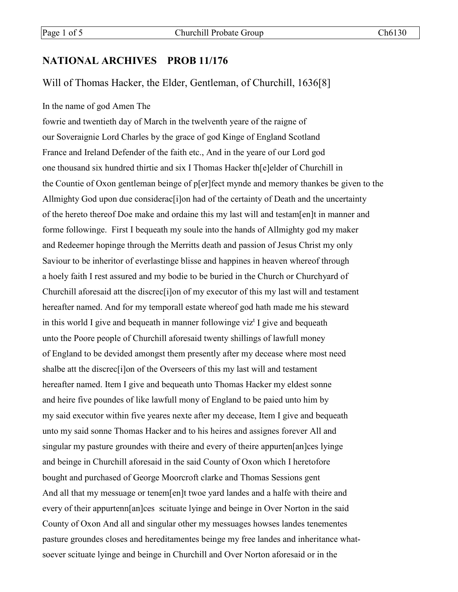# **NATIONAL ARCHIVES PROB 11/176**

# Will of Thomas Hacker, the Elder, Gentleman, of Churchill, 1636[8]

#### In the name of god Amen The

fowrie and twentieth day of March in the twelventh yeare of the raigne of our Soveraignie Lord Charles by the grace of god Kinge of England Scotland France and Ireland Defender of the faith etc., And in the yeare of our Lord god one thousand six hundred thirtie and six I Thomas Hacker th[e]elder of Churchill in the Countie of Oxon gentleman beinge of p[er]fect mynde and memory thankes be given to the Allmighty God upon due considerac[i]on had of the certainty of Death and the uncertainty of the hereto thereof Doe make and ordaine this my last will and testam[en]t in manner and forme followinge. First I bequeath my soule into the hands of Allmighty god my maker and Redeemer hopinge through the Merritts death and passion of Jesus Christ my only Saviour to be inheritor of everlastinge blisse and happines in heaven whereof through a hoely faith I rest assured and my bodie to be buried in the Church or Churchyard of Churchill aforesaid att the discrec[i]on of my executor of this my last will and testament hereafter named. And for my temporall estate whereof god hath made me his steward in this world I give and bequeath in manner followinge viz<sup>t</sup> I give and bequeath unto the Poore people of Churchill aforesaid twenty shillings of lawfull money of England to be devided amongst them presently after my decease where most need shalbe att the discrec[i]on of the Overseers of this my last will and testament hereafter named. Item I give and bequeath unto Thomas Hacker my eldest sonne and heire five poundes of like lawfull mony of England to be paied unto him by my said executor within five yeares nexte after my decease, Item I give and bequeath unto my said sonne Thomas Hacker and to his heires and assignes forever All and singular my pasture groundes with theire and every of theire appurten[an]ces lyinge and beinge in Churchill aforesaid in the said County of Oxon which I heretofore bought and purchased of George Moorcroft clarke and Thomas Sessions gent And all that my messuage or tenem[en]t twoe yard landes and a halfe with theire and every of their appurtenn[an]ces scituate lyinge and beinge in Over Norton in the said County of Oxon And all and singular other my messuages howses landes tenementes pasture groundes closes and hereditamentes beinge my free landes and inheritance whatsoever scituate lyinge and beinge in Churchill and Over Norton aforesaid or in the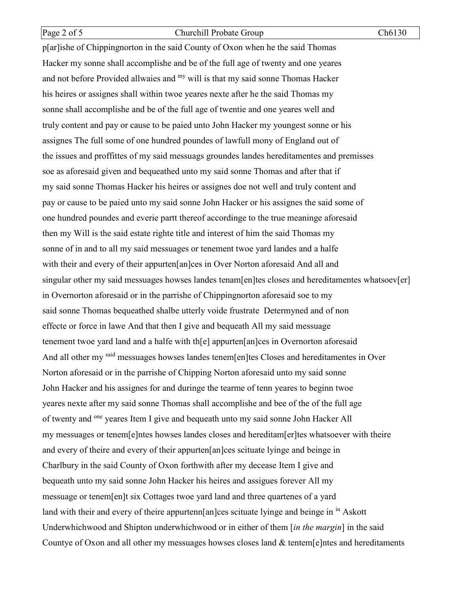### Page 2 of 5 Churchill Probate Group Ch6130

p[ar]ishe of Chippingnorton in the said County of Oxon when he the said Thomas Hacker my sonne shall accomplishe and be of the full age of twenty and one yeares and not before Provided allwaies and <sup>my</sup> will is that my said sonne Thomas Hacker his heires or assignes shall within twoe yeares nexte after he the said Thomas my sonne shall accomplishe and be of the full age of twentie and one yeares well and truly content and pay or cause to be paied unto John Hacker my youngest sonne or his assignes The full some of one hundred poundes of lawfull mony of England out of the issues and proffittes of my said messuags groundes landes hereditamentes and premisses soe as aforesaid given and bequeathed unto my said sonne Thomas and after that if my said sonne Thomas Hacker his heires or assignes doe not well and truly content and pay or cause to be paied unto my said sonne John Hacker or his assignes the said some of one hundred poundes and everie partt thereof accordinge to the true meaninge aforesaid then my Will is the said estate righte title and interest of him the said Thomas my sonne of in and to all my said messuages or tenement twoe yard landes and a halfe with their and every of their appurten[an]ces in Over Norton aforesaid And all and singular other my said messuages howses landes tenam[en]tes closes and hereditamentes whatsoev[er] in Overnorton aforesaid or in the parrishe of Chippingnorton aforesaid soe to my said sonne Thomas bequeathed shalbe utterly voide frustrate Determyned and of non effecte or force in lawe And that then I give and bequeath All my said messuage tenement twoe yard land and a halfe with th[e] appurten[an]ces in Overnorton aforesaid And all other my said messuages howses landes tenem[en]tes Closes and hereditamentes in Over Norton aforesaid or in the parrishe of Chipping Norton aforesaid unto my said sonne John Hacker and his assignes for and duringe the tearme of tenn yeares to beginn twoe yeares nexte after my said sonne Thomas shall accomplishe and bee of the of the full age of twenty and one yeares Item I give and bequeath unto my said sonne John Hacker All my messuages or tenem[e]ntes howses landes closes and hereditam[er]tes whatsoever with theire and every of theire and every of their appurten[an]ces scituate lyinge and beinge in Charlbury in the said County of Oxon forthwith after my decease Item I give and bequeath unto my said sonne John Hacker his heires and assigues forever All my messuage or tenem[en]t six Cottages twoe yard land and three quartenes of a yard land with their and every of theire appurtenn[an]ces scituate lyinge and beinge in <sup>in</sup> Askott Underwhichwood and Shipton underwhichwood or in either of them [*in the margin*] in the said Countye of Oxon and all other my messuages howses closes land & tentem[e]ntes and hereditaments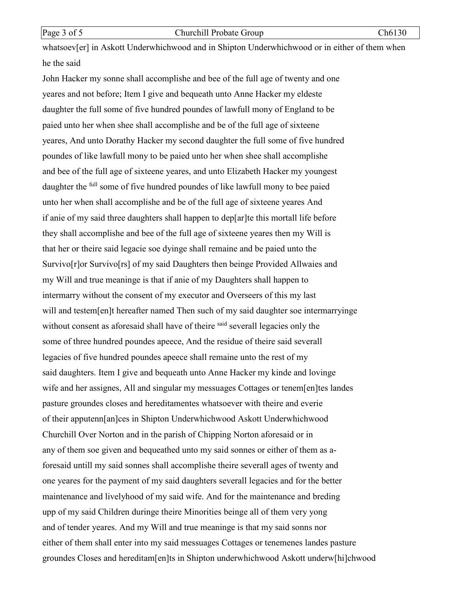### Page 3 of 5 Churchill Probate Group Ch6130

whatsoev[er] in Askott Underwhichwood and in Shipton Underwhichwood or in either of them when he the said

John Hacker my sonne shall accomplishe and bee of the full age of twenty and one yeares and not before; Item I give and bequeath unto Anne Hacker my eldeste daughter the full some of five hundred poundes of lawfull mony of England to be paied unto her when shee shall accomplishe and be of the full age of sixteene yeares, And unto Dorathy Hacker my second daughter the full some of five hundred poundes of like lawfull mony to be paied unto her when shee shall accomplishe and bee of the full age of sixteene yeares, and unto Elizabeth Hacker my youngest daughter the full some of five hundred poundes of like lawfull mony to bee paied unto her when shall accomplishe and be of the full age of sixteene yeares And if anie of my said three daughters shall happen to dep[ar]te this mortall life before they shall accomplishe and bee of the full age of sixteene yeares then my Will is that her or theire said legacie soe dyinge shall remaine and be paied unto the Survivo[r]or Survivo[rs] of my said Daughters then beinge Provided Allwaies and my Will and true meaninge is that if anie of my Daughters shall happen to intermarry without the consent of my executor and Overseers of this my last will and testem[en]t hereafter named Then such of my said daughter soe intermarryinge without consent as aforesaid shall have of theire said severall legacies only the some of three hundred poundes apeece, And the residue of theire said severall legacies of five hundred poundes apeece shall remaine unto the rest of my said daughters. Item I give and bequeath unto Anne Hacker my kinde and lovinge wife and her assignes, All and singular my messuages Cottages or tenem[en]tes landes pasture groundes closes and hereditamentes whatsoever with theire and everie of their apputenn[an]ces in Shipton Underwhichwood Askott Underwhichwood Churchill Over Norton and in the parish of Chipping Norton aforesaid or in any of them soe given and bequeathed unto my said sonnes or either of them as aforesaid untill my said sonnes shall accomplishe theire severall ages of twenty and one yeares for the payment of my said daughters severall legacies and for the better maintenance and livelyhood of my said wife. And for the maintenance and breding upp of my said Children duringe theire Minorities beinge all of them very yong and of tender yeares. And my Will and true meaninge is that my said sonns nor either of them shall enter into my said messuages Cottages or tenemenes landes pasture groundes Closes and hereditam[en]ts in Shipton underwhichwood Askott underw[hi]chwood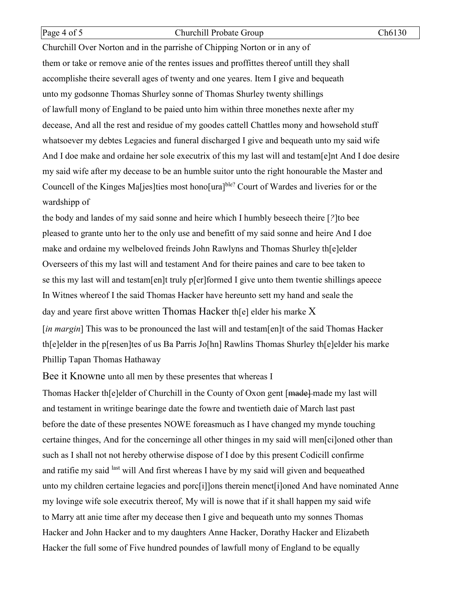## Page 4 of 5 Churchill Probate Group Ch6130

Churchill Over Norton and in the parrishe of Chipping Norton or in any of them or take or remove anie of the rentes issues and proffittes thereof untill they shall accomplishe theire severall ages of twenty and one yeares. Item I give and bequeath unto my godsonne Thomas Shurley sonne of Thomas Shurley twenty shillings of lawfull mony of England to be paied unto him within three monethes nexte after my decease, And all the rest and residue of my goodes cattell Chattles mony and howsehold stuff whatsoever my debtes Legacies and funeral discharged I give and bequeath unto my said wife And I doe make and ordaine her sole executrix of this my last will and testam[e]nt And I doe desire my said wife after my decease to be an humble suitor unto the right honourable the Master and Councell of the Kinges Masjes lties most honosural ble? Court of Wardes and liveries for or the wardshipp of

the body and landes of my said sonne and heire which I humbly beseech theire [*?*]to bee pleased to grante unto her to the only use and benefitt of my said sonne and heire And I doe make and ordaine my welbeloved freinds John Rawlyns and Thomas Shurley th[e]elder Overseers of this my last will and testament And for theire paines and care to bee taken to se this my last will and testam[en]t truly p[er]formed I give unto them twentie shillings apeece In Witnes whereof I the said Thomas Hacker have hereunto sett my hand and seale the day and yeare first above written Thomas Hacker the elder his marke X

[*in margin*] This was to be pronounced the last will and testam[en]t of the said Thomas Hacker th[e]elder in the p[resen]tes of us Ba Parris Jo[hn] Rawlins Thomas Shurley th[e]elder his marke Phillip Tapan Thomas Hathaway

Bee it Knowne unto all men by these presentes that whereas I

Thomas Hacker th<sup>[e]</sup>elder of Churchill in the County of Oxon gent [made] made my last will and testament in writinge bearinge date the fowre and twentieth daie of March last past before the date of these presentes NOWE foreasmuch as I have changed my mynde touching certaine thinges, And for the concerninge all other thinges in my said will men[ci]oned other than such as I shall not not hereby otherwise dispose of I doe by this present Codicill confirme and ratifie my said last will And first whereas I have by my said will given and bequeathed unto my children certaine legacies and porc[i]]ons therein menct[i]oned And have nominated Anne my lovinge wife sole executrix thereof, My will is nowe that if it shall happen my said wife to Marry att anie time after my decease then I give and bequeath unto my sonnes Thomas Hacker and John Hacker and to my daughters Anne Hacker, Dorathy Hacker and Elizabeth Hacker the full some of Five hundred poundes of lawfull mony of England to be equally